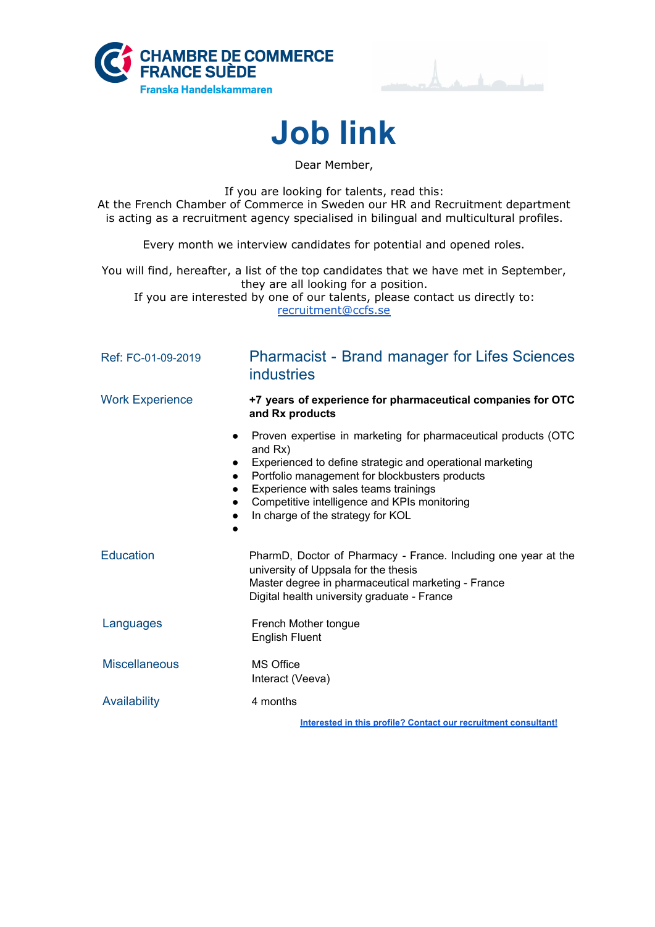



**Job link**

Dear Member,

If you are looking for talents, read this: At the French Chamber of Commerce in Sweden our HR and Recruitment department is acting as a recruitment agency specialised in bilingual and multicultural profiles.

Every month we interview candidates for potential and opened roles.

You will find, hereafter, a list of the top candidates that we have met in September, they are all looking for a position. If you are interested by one of our talents, please contact us directly to: [recruitment@ccfs.se](mailto:recruitment@ccfs.se)

| Ref: FC-01-09-2019     | <b>Pharmacist - Brand manager for Lifes Sciences</b><br><b>industries</b>                                                                                                                                                                                                                                              |
|------------------------|------------------------------------------------------------------------------------------------------------------------------------------------------------------------------------------------------------------------------------------------------------------------------------------------------------------------|
| <b>Work Experience</b> | +7 years of experience for pharmaceutical companies for OTC<br>and Rx products                                                                                                                                                                                                                                         |
| $\bullet$<br>$\bullet$ | Proven expertise in marketing for pharmaceutical products (OTC<br>and Rx)<br>Experienced to define strategic and operational marketing<br>Portfolio management for blockbusters products<br>Experience with sales teams trainings<br>Competitive intelligence and KPIs monitoring<br>In charge of the strategy for KOL |
| <b>Education</b>       | PharmD, Doctor of Pharmacy - France. Including one year at the<br>university of Uppsala for the thesis<br>Master degree in pharmaceutical marketing - France<br>Digital health university graduate - France                                                                                                            |
| Languages              | French Mother tongue<br><b>English Fluent</b>                                                                                                                                                                                                                                                                          |
| <b>Miscellaneous</b>   | MS Office<br>Interact (Veeva)                                                                                                                                                                                                                                                                                          |
| Availability           | 4 months                                                                                                                                                                                                                                                                                                               |
|                        | Interested in this profile? Contact our recruitment consultant!                                                                                                                                                                                                                                                        |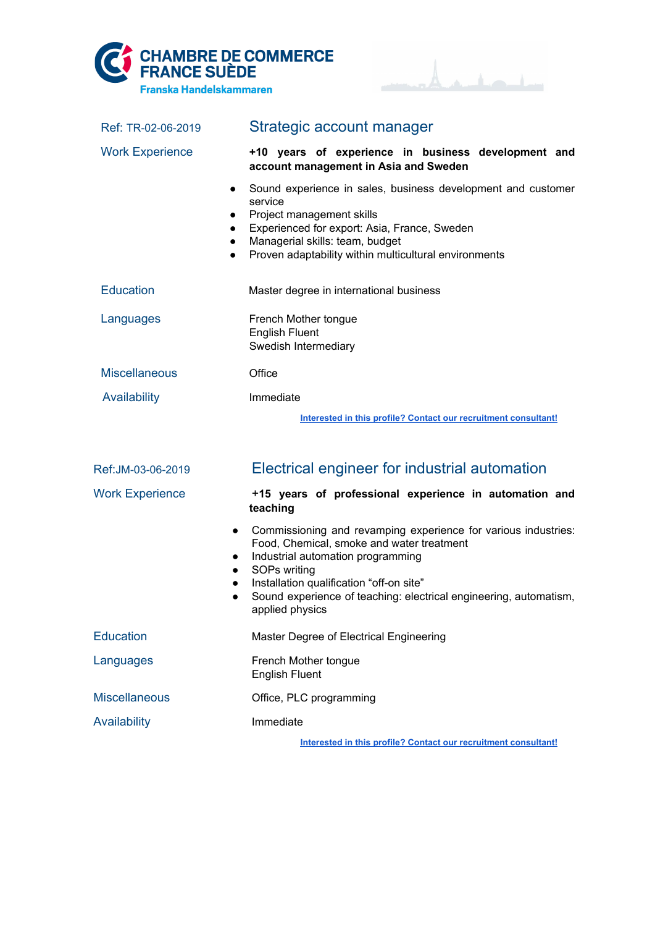



| Ref: TR-02-06-2019                                            | Strategic account manager                                                                                                                                                                                                                                                                            |
|---------------------------------------------------------------|------------------------------------------------------------------------------------------------------------------------------------------------------------------------------------------------------------------------------------------------------------------------------------------------------|
| <b>Work Experience</b>                                        | +10 years of experience in business development and<br>account management in Asia and Sweden                                                                                                                                                                                                         |
| $\bullet$<br>$\bullet$<br>$\bullet$<br>$\bullet$<br>$\bullet$ | Sound experience in sales, business development and customer<br>service<br>Project management skills<br>Experienced for export: Asia, France, Sweden<br>Managerial skills: team, budget<br>Proven adaptability within multicultural environments                                                     |
| <b>Education</b>                                              | Master degree in international business                                                                                                                                                                                                                                                              |
| Languages                                                     | French Mother tongue<br><b>English Fluent</b><br>Swedish Intermediary                                                                                                                                                                                                                                |
| <b>Miscellaneous</b>                                          | Office                                                                                                                                                                                                                                                                                               |
| Availability                                                  | Immediate                                                                                                                                                                                                                                                                                            |
|                                                               | Interested in this profile? Contact our recruitment consultant!                                                                                                                                                                                                                                      |
| Ref:JM-03-06-2019                                             | Electrical engineer for industrial automation                                                                                                                                                                                                                                                        |
| <b>Work Experience</b>                                        | +15 years of professional experience in automation and<br>teaching                                                                                                                                                                                                                                   |
| $\bullet$<br>$\bullet$<br>$\bullet$<br>$\bullet$<br>$\bullet$ | Commissioning and revamping experience for various industries:<br>Food, Chemical, smoke and water treatment<br>Industrial automation programming<br>SOPs writing<br>Installation qualification "off-on site"<br>Sound experience of teaching: electrical engineering, automatism,<br>applied physics |
| <b>Education</b>                                              | Master Degree of Electrical Engineering                                                                                                                                                                                                                                                              |
| Languages                                                     | French Mother tongue<br><b>English Fluent</b>                                                                                                                                                                                                                                                        |
| <b>Miscellaneous</b>                                          | Office, PLC programming                                                                                                                                                                                                                                                                              |
| <b>Availability</b>                                           | Immediate                                                                                                                                                                                                                                                                                            |
|                                                               | Interested in this profile? Contact our recruitment consultant!                                                                                                                                                                                                                                      |